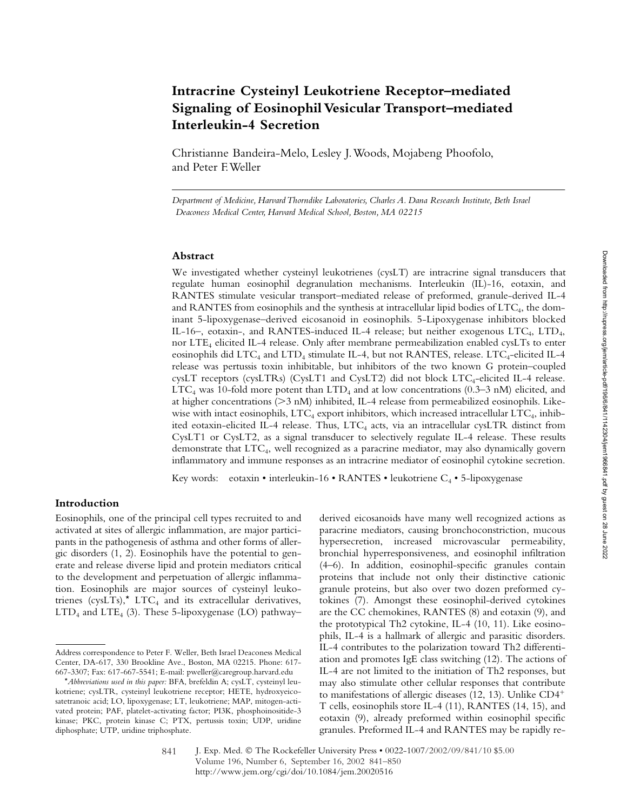# **Intracrine Cysteinyl Leukotriene Receptor–mediated Signaling of Eosinophil Vesicular Transport–mediated Interleukin-4 Secretion**

Christianne Bandeira-Melo, Lesley J. Woods, Mojabeng Phoofolo, and Peter F. Weller

*Department of Medicine, Harvard Thorndike Laboratories, Charles A. Dana Research Institute, Beth Israel Deaconess Medical Center, Harvard Medical School, Boston, MA 02215*

#### **Abstract**

We investigated whether cysteinyl leukotrienes (cysLT) are intracrine signal transducers that regulate human eosinophil degranulation mechanisms. Interleukin (IL)-16, eotaxin, and RANTES stimulate vesicular transport–mediated release of preformed, granule-derived IL-4 and RANTES from eosinophils and the synthesis at intracellular lipid bodies of  $\text{LTC}_4$ , the dominant 5-lipoxygenase–derived eicosanoid in eosinophils. 5-Lipoxygenase inhibitors blocked IL-16–, eotaxin-, and RANTES-induced IL-4 release; but neither exogenous LTC4, LTD4, nor LTE4 elicited IL-4 release. Only after membrane permeabilization enabled cysLTs to enter eosinophils did LTC<sub>4</sub> and LTD<sub>4</sub> stimulate IL-4, but not RANTES, release. LTC<sub>4</sub>-elicited IL-4 release was pertussis toxin inhibitable, but inhibitors of the two known G protein–coupled cysLT receptors (cysLTRs) (CysLT1 and CysLT2) did not block LTC<sub>4</sub>-elicited IL-4 release. LTC<sub>4</sub> was 10-fold more potent than  $LTD<sub>4</sub>$  and at low concentrations (0.3–3 nM) elicited, and at higher concentrations (>3 nM) inhibited, IL-4 release from permeabilized eosinophils. Likewise with intact eosinophils, LTC<sub>4</sub> export inhibitors, which increased intracellular LTC<sub>4</sub>, inhibited eotaxin-elicited IL-4 release. Thus, LTC<sub>4</sub> acts, via an intracellular cysLTR distinct from CysLT1 or CysLT2, as a signal transducer to selectively regulate IL-4 release. These results demonstrate that LTC4, well recognized as a paracrine mediator, may also dynamically govern inflammatory and immune responses as an intracrine mediator of eosinophil cytokine secretion.

Key words: eotaxin • interleukin-16 • RANTES • leukotriene  $C_4$  • 5-lipoxygenase

# **Introduction**

Eosinophils, one of the principal cell types recruited to and activated at sites of allergic inflammation, are major participants in the pathogenesis of asthma and other forms of allergic disorders (1, 2). Eosinophils have the potential to generate and release diverse lipid and protein mediators critical to the development and perpetuation of allergic inflammation. Eosinophils are major sources of cysteinyl leukotrienes (cysLTs),\*  $LTC_4$  and its extracellular derivatives,  $LTD<sub>4</sub>$  and  $LTE<sub>4</sub>$  (3). These 5-lipoxygenase (LO) pathway–

derived eicosanoids have many well recognized actions as paracrine mediators, causing bronchoconstriction, mucous hypersecretion, increased microvascular permeability, bronchial hyperresponsiveness, and eosinophil infiltration (4–6). In addition, eosinophil-specific granules contain proteins that include not only their distinctive cationic granule proteins, but also over two dozen preformed cytokines (7). Amongst these eosinophil-derived cytokines are the CC chemokines, RANTES (8) and eotaxin (9), and the prototypical Th2 cytokine, IL-4 (10, 11). Like eosinophils, IL-4 is a hallmark of allergic and parasitic disorders. IL-4 contributes to the polarization toward Th2 differentiation and promotes IgE class switching (12). The actions of IL-4 are not limited to the initiation of Th2 responses, but may also stimulate other cellular responses that contribute to manifestations of allergic diseases (12, 13). Unlike CD4 T cells, eosinophils store IL-4 (11), RANTES (14, 15), and eotaxin (9), already preformed within eosinophil specific granules. Preformed IL-4 and RANTES may be rapidly re-

Address correspondence to Peter F. Weller, Beth Israel Deaconess Medical Center, DA-617, 330 Brookline Ave., Boston, MA 02215. Phone: 617- 667-3307; Fax: 617-667-5541; E-mail: pweller@caregroup.harvard.edu

<sup>\*</sup>*Abbreviations used in this paper:* BFA, brefeldin A; cysLT, cysteinyl leukotriene; cysLTR, cysteinyl leukotriene receptor; HETE, hydroxyeicosatetranoic acid; LO, lipoxygenase; LT, leukotriene; MAP, mitogen-activated protein; PAF, platelet-activating factor; PI3K, phosphoinositide-3 kinase; PKC, protein kinase C; PTX, pertussis toxin; UDP, uridine diphosphate; UTP, uridine triphosphate.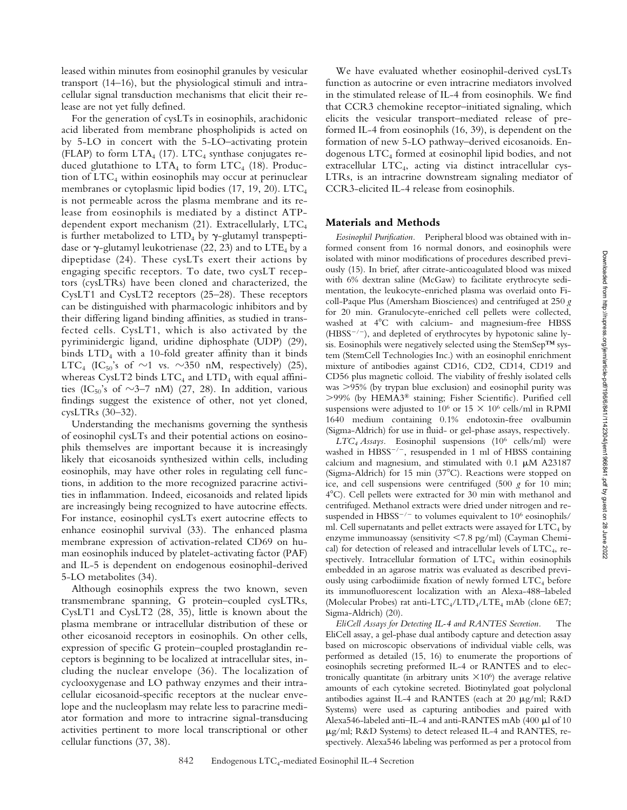leased within minutes from eosinophil granules by vesicular transport (14–16), but the physiological stimuli and intracellular signal transduction mechanisms that elicit their release are not yet fully defined.

For the generation of cysLTs in eosinophils, arachidonic acid liberated from membrane phospholipids is acted on by 5-LO in concert with the 5-LO–activating protein (FLAP) to form  $LTA<sub>4</sub>$  (17). LTC<sub>4</sub> synthase conjugates reduced glutathione to  $LTA_4$  to form  $LTC_4$  (18). Production of  $LTC_4$  within eosinophils may occur at perinuclear membranes or cytoplasmic lipid bodies (17, 19, 20). LTC<sub>4</sub> is not permeable across the plasma membrane and its release from eosinophils is mediated by a distinct ATPdependent export mechanism (21). Extracellularly, LTC4 is further metabolized to  $LTD_4$  by  $\gamma$ -glutamyl transpeptidase or  $\gamma$ -glutamyl leukotrienase (22, 23) and to LTE<sub>4</sub> by a dipeptidase (24). These cysLTs exert their actions by engaging specific receptors. To date, two cysLT receptors (cysLTRs) have been cloned and characterized, the CysLT1 and CysLT2 receptors (25–28). These receptors can be distinguished with pharmacologic inhibitors and by their differing ligand binding affinities, as studied in transfected cells. CysLT1, which is also activated by the pyriminidergic ligand, uridine diphosphate (UDP) (29), binds  $LTD_4$  with a 10-fold greater affinity than it binds LTC<sub>4</sub> (IC<sub>50</sub>'s of  $\sim$ 1 vs.  $\sim$ 350 nM, respectively) (25), whereas CysLT2 binds  $LTC_4$  and  $LTD_4$  with equal affinities (IC<sub>50</sub>'s of  $\sim$ 3–7 nM) (27, 28). In addition, various findings suggest the existence of other, not yet cloned, cysLTRs (30–32).

Understanding the mechanisms governing the synthesis of eosinophil cysLTs and their potential actions on eosinophils themselves are important because it is increasingly likely that eicosanoids synthesized within cells, including eosinophils, may have other roles in regulating cell functions, in addition to the more recognized paracrine activities in inflammation. Indeed, eicosanoids and related lipids are increasingly being recognized to have autocrine effects. For instance, eosinophil cysLTs exert autocrine effects to enhance eosinophil survival (33). The enhanced plasma membrane expression of activation-related CD69 on human eosinophils induced by platelet-activating factor (PAF) and IL-5 is dependent on endogenous eosinophil-derived 5-LO metabolites (34).

Although eosinophils express the two known, seven transmembrane spanning, G protein–coupled cysLTRs, CysLT1 and CysLT2 (28, 35), little is known about the plasma membrane or intracellular distribution of these or other eicosanoid receptors in eosinophils. On other cells, expression of specific G protein–coupled prostaglandin receptors is beginning to be localized at intracellular sites, including the nuclear envelope (36). The localization of cyclooxygenase and LO pathway enzymes and their intracellular eicosanoid-specific receptors at the nuclear envelope and the nucleoplasm may relate less to paracrine mediator formation and more to intracrine signal-transducing activities pertinent to more local transcriptional or other cellular functions (37, 38).

We have evaluated whether eosinophil-derived cysLTs function as autocrine or even intracrine mediators involved in the stimulated release of IL-4 from eosinophils. We find that CCR3 chemokine receptor–initiated signaling, which elicits the vesicular transport–mediated release of preformed IL-4 from eosinophils (16, 39), is dependent on the formation of new 5-LO pathway–derived eicosanoids. Endogenous LTC4 formed at eosinophil lipid bodies, and not extracellular LTC4, acting via distinct intracellular cys-LTRs, is an intracrine downstream signaling mediator of CCR3-elicited IL-4 release from eosinophils.

#### **Materials and Methods**

*Eosinophil Purification.* Peripheral blood was obtained with informed consent from 16 normal donors, and eosinophils were isolated with minor modifications of procedures described previously (15). In brief, after citrate-anticoagulated blood was mixed with 6% dextran saline (McGaw) to facilitate erythrocyte sedimentation, the leukocyte-enriched plasma was overlaid onto Ficoll-Paque Plus (Amersham Biosciences) and centrifuged at 250 *g* for 20 min. Granulocyte-enriched cell pellets were collected, washed at  $4^{\circ}$ C with calcium- and magnesium-free HBSS  $(HBSS^{-/-})$ , and depleted of erythrocytes by hypotonic saline lysis. Eosinophils were negatively selected using the StemSep™ system (StemCell Technologies Inc.) with an eosinophil enrichment mixture of antibodies against CD16, CD2, CD14, CD19 and CD56 plus magnetic colloid. The viability of freshly isolated cells was >95% (by trypan blue exclusion) and eosinophil purity was -99% (by HEMA3® staining; Fisher Scientific). Purified cell suspensions were adjusted to  $10^6$  or  $15 \times 10^6$  cells/ml in RPMI 1640 medium containing 0.1% endotoxin-free ovalbumin (Sigma-Aldrich) for use in fluid- or gel-phase assays, respectively.

*LTC4 Assays.* Eosinophil suspensions (106 cells/ml) were washed in  $H BSS^{-/-}$ , resuspended in 1 ml of HBSS containing calcium and magnesium, and stimulated with  $0.1 \mu M$  A23187 (Sigma-Aldrich) for 15 min  $(37^{\circ}C)$ . Reactions were stopped on ice, and cell suspensions were centrifuged (500 *g* for 10 min; 4C). Cell pellets were extracted for 30 min with methanol and centrifuged. Methanol extracts were dried under nitrogen and resuspended in HBSS<sup>-/-</sup> to volumes equivalent to  $10^6$  eosinophils/ ml. Cell supernatants and pellet extracts were assayed for LTC<sub>4</sub> by enzyme immunoassay (sensitivity  $\leq$ 7.8 pg/ml) (Cayman Chemical) for detection of released and intracellular levels of  $\text{LTC}_4$ , respectively. Intracellular formation of  $LTC_4$  within eosinophils embedded in an agarose matrix was evaluated as described previously using carbodiimide fixation of newly formed LTC<sub>4</sub> before its immunofluorescent localization with an Alexa-488–labeled (Molecular Probes) rat anti-LTC<sub>4</sub>/LTD<sub>4</sub>/LTE<sub>4</sub> mAb (clone 6E7; Sigma-Aldrich) (20).

*EliCell Assays for Detecting IL-4 and RANTES Secretion.* The EliCell assay, a gel-phase dual antibody capture and detection assay based on microscopic observations of individual viable cells, was performed as detailed (15, 16) to enumerate the proportions of eosinophils secreting preformed IL-4 or RANTES and to electronically quantitate (in arbitrary units  $\times 10^6$ ) the average relative amounts of each cytokine secreted. Biotinylated goat polyclonal antibodies against IL-4 and RANTES (each at 20  $\mu$ g/ml; R&D Systems) were used as capturing antibodies and paired with Alexa546-labeled anti-IL-4 and anti-RANTES mAb (400  $\mu$ l of 10 g/ml; R&D Systems) to detect released IL-4 and RANTES, respectively. Alexa546 labeling was performed as per a protocol from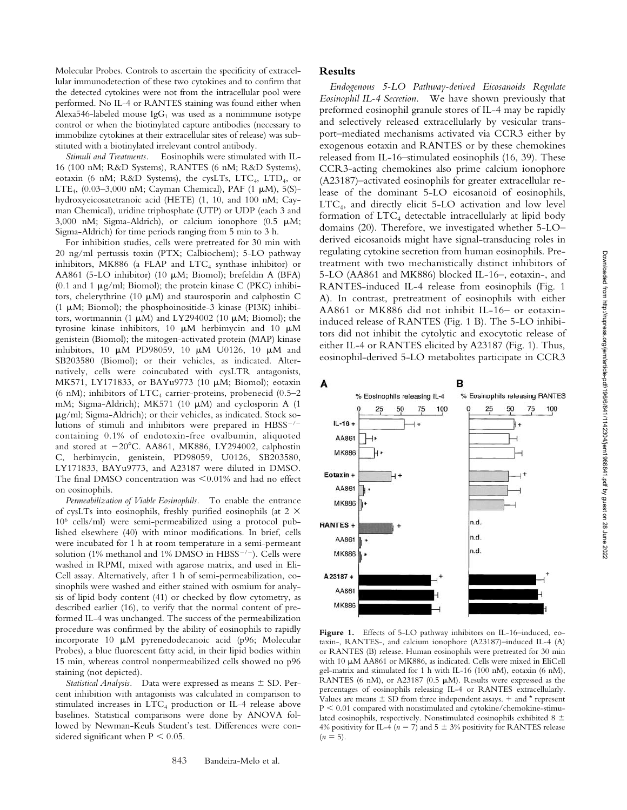Molecular Probes. Controls to ascertain the specificity of extracellular immunodetection of these two cytokines and to confirm that the detected cytokines were not from the intracellular pool were performed. No IL-4 or RANTES staining was found either when Alexa546-labeled mouse  $\lg G_1$  was used as a nonimmune isotype control or when the biotinylated capture antibodies (necessary to immobilize cytokines at their extracellular sites of release) was substituted with a biotinylated irrelevant control antibody.

*Stimuli and Treatments.* Eosinophils were stimulated with IL-16 (100 nM; R&D Systems), RANTES (6 nM; R&D Systems), eotaxin (6 nM; R&D Systems), the cysLTs, LTC<sub>4</sub>, LTD<sub>4</sub>, or LTE<sub>4</sub>,  $(0.03-3,000 \text{ nM})$ ; Cayman Chemical), PAF  $(1 \mu M)$ , 5(S)hydroxyeicosatetranoic acid (HETE) (1, 10, and 100 nM; Cayman Chemical), uridine triphosphate (UTP) or UDP (each 3 and 3,000 nM; Sigma-Aldrich), or calcium ionophore  $(0.5 \mu M;$ Sigma-Aldrich) for time periods ranging from 5 min to 3 h.

For inhibition studies, cells were pretreated for 30 min with 20 ng/ml pertussis toxin (PTX; Calbiochem); 5-LO pathway inhibitors, MK886 (a FLAP and  $\text{LTC}_4$  synthase inhibitor) or AA861 (5-LO inhibitor) (10  $\mu$ M; Biomol); brefeldin A (BFA) (0.1 and 1  $\mu$ g/ml; Biomol); the protein kinase C (PKC) inhibitors, chelerythrine (10  $\mu$ M) and staurosporin and calphostin C (1  $\mu$ M; Biomol); the phosphoinositide-3 kinase (PI3K) inhibitors, wortmannin (1  $\mu$ M) and LY294002 (10  $\mu$ M; Biomol); the tyrosine kinase inhibitors, 10  $\mu$ M herbimycin and 10  $\mu$ M genistein (Biomol); the mitogen-activated protein (MAP) kinase inhibitors, 10  $\mu$ M PD98059, 10  $\mu$ M U0126, 10  $\mu$ M and SB203580 (Biomol); or their vehicles, as indicated. Alternatively, cells were coincubated with cysLTR antagonists, MK571, LY171833, or BAYu9773 (10 μM; Biomol); eotaxin (6 nM); inhibitors of  $LTC<sub>4</sub>$  carrier-proteins, probenecid (0.5–2 mM; Sigma-Aldrich); MK571 (10  $\mu$ M) and cyclosporin A (1 g/ml; Sigma-Aldrich); or their vehicles, as indicated. Stock solutions of stimuli and inhibitors were prepared in HBSS<sup>-/-</sup> containing 0.1% of endotoxin-free ovalbumin, aliquoted and stored at  $-20^{\circ}$ C. AA861, MK886, LY294002, calphostin C, herbimycin, genistein, PD98059, U0126, SB203580, LY171833, BAYu9773, and A23187 were diluted in DMSO. The final DMSO concentration was  $\leq 0.01\%$  and had no effect on eosinophils.

*Permeabilization of Viable Eosinophils.* To enable the entrance of cysLTs into eosinophils, freshly purified eosinophils (at  $2 \times$ 106 cells/ml) were semi-permeabilized using a protocol published elsewhere (40) with minor modifications. In brief, cells were incubated for 1 h at room temperature in a semi-permeant solution (1% methanol and 1% DMSO in  $H BSS^{-/-}$ ). Cells were washed in RPMI, mixed with agarose matrix, and used in Eli-Cell assay. Alternatively, after 1 h of semi-permeabilization, eosinophils were washed and either stained with osmium for analysis of lipid body content (41) or checked by flow cytometry, as described earlier (16), to verify that the normal content of preformed IL-4 was unchanged. The success of the permeabilization procedure was confirmed by the ability of eosinophils to rapidly incorporate 10  $\mu$ M pyrenedodecanoic acid (p96; Molecular Probes), a blue fluorescent fatty acid, in their lipid bodies within 15 min, whereas control nonpermeabilized cells showed no p96 staining (not depicted).

Statistical Analysis. Data were expressed as means  $\pm$  SD. Percent inhibition with antagonists was calculated in comparison to stimulated increases in  $\text{LTC}_4$  production or IL-4 release above baselines. Statistical comparisons were done by ANOVA followed by Newman-Keuls Student's test. Differences were considered significant when  $P < 0.05$ .

### **Results**

*Endogenous 5-LO Pathway-derived Eicosanoids Regulate Eosinophil IL-4 Secretion.* We have shown previously that preformed eosinophil granule stores of IL-4 may be rapidly and selectively released extracellularly by vesicular transport–mediated mechanisms activated via CCR3 either by exogenous eotaxin and RANTES or by these chemokines released from IL-16–stimulated eosinophils (16, 39). These CCR3-acting chemokines also prime calcium ionophore (A23187)–activated eosinophils for greater extracellular release of the dominant 5-LO eicosanoid of eosinophils,  $LTC<sub>4</sub>$ , and directly elicit 5-LO activation and low level formation of  $LTC<sub>4</sub>$  detectable intracellularly at lipid body domains (20). Therefore, we investigated whether 5-LO– derived eicosanoids might have signal-transducing roles in regulating cytokine secretion from human eosinophils. Pretreatment with two mechanistically distinct inhibitors of 5-LO (AA861 and MK886) blocked IL-16–, eotaxin-, and RANTES-induced IL-4 release from eosinophils (Fig. 1 A). In contrast, pretreatment of eosinophils with either AA861 or MK886 did not inhibit IL-16– or eotaxininduced release of RANTES (Fig. 1 B). The 5-LO inhibitors did not inhibit the cytolytic and exocytotic release of either IL-4 or RANTES elicited by A23187 (Fig. 1). Thus, eosinophil-derived 5-LO metabolites participate in CCR3



Figure 1. Effects of 5-LO pathway inhibitors on IL-16-induced, eotaxin-, RANTES-, and calcium ionophore (A23187)–induced IL-4 (A) or RANTES (B) release. Human eosinophils were pretreated for 30 min with 10  $\mu$ M AA861 or MK886, as indicated. Cells were mixed in EliCell gel-matrix and stimulated for 1 h with IL-16 (100 nM), eotaxin (6 nM), RANTES (6 nM), or A23187 (0.5  $\mu$ M). Results were expressed as the percentages of eosinophils releasing IL-4 or RANTES extracellularly. Values are means  $\pm$  SD from three independent assays.  $+$  and  $*$  represent  $P < 0.01$  compared with nonstimulated and cytokine/chemokine-stimulated eosinophils, respectively. Nonstimulated eosinophils exhibited 8  $\pm$ 4% positivity for IL-4 ( $n = 7$ ) and 5  $\pm$  3% positivity for RANTES release  $(n = 5)$ .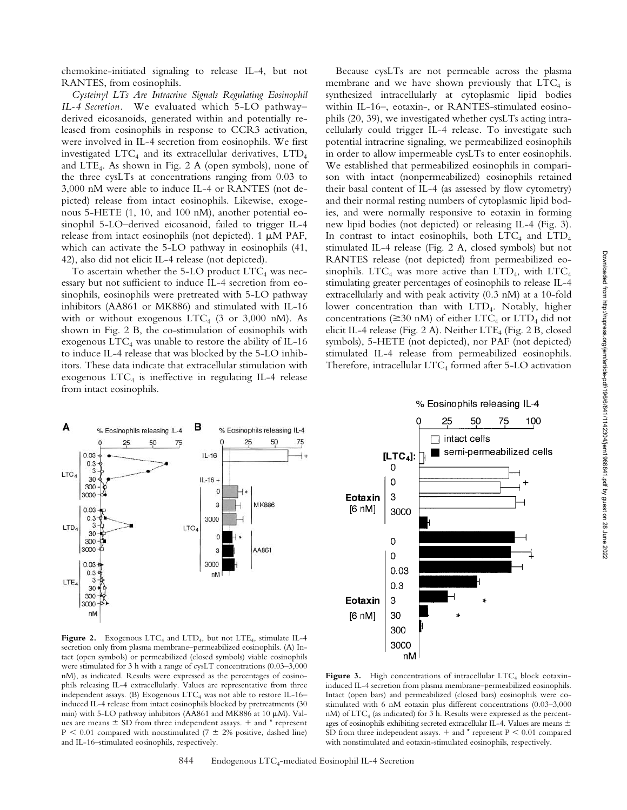chemokine-initiated signaling to release IL-4, but not RANTES, from eosinophils.

*Cysteinyl LTs Are Intracrine Signals Regulating Eosinophil IL-4 Secretion.* We evaluated which 5-LO pathway– derived eicosanoids, generated within and potentially released from eosinophils in response to CCR3 activation, were involved in IL-4 secretion from eosinophils. We first investigated  $\text{LTC}_4$  and its extracellular derivatives,  $\text{LTD}_4$ and  $LTE_4$ . As shown in Fig. 2 A (open symbols), none of the three cysLTs at concentrations ranging from 0.03 to 3,000 nM were able to induce IL-4 or RANTES (not depicted) release from intact eosinophils. Likewise, exogenous 5-HETE (1, 10, and 100 nM), another potential eosinophil 5-LO–derived eicosanoid, failed to trigger IL-4 release from intact eosinophils (not depicted).  $1 \mu M$  PAF, which can activate the 5-LO pathway in eosinophils (41, 42), also did not elicit IL-4 release (not depicted).

To ascertain whether the  $5$ -LO product LTC<sub>4</sub> was necessary but not sufficient to induce IL-4 secretion from eosinophils, eosinophils were pretreated with 5-LO pathway inhibitors (AA861 or MK886) and stimulated with IL-16 with or without exogenous  $LTC_4$  (3 or 3,000 nM). As shown in Fig. 2 B, the co-stimulation of eosinophils with exogenous  $\text{LTC}_4$  was unable to restore the ability of IL-16 to induce IL-4 release that was blocked by the 5-LO inhibitors. These data indicate that extracellular stimulation with exogenous  $LTC<sub>4</sub>$  is ineffective in regulating IL-4 release from intact eosinophils.

Because cysLTs are not permeable across the plasma membrane and we have shown previously that  $LTC_4$  is synthesized intracellularly at cytoplasmic lipid bodies within IL-16–, eotaxin-, or RANTES-stimulated eosinophils (20, 39), we investigated whether cysLTs acting intracellularly could trigger IL-4 release. To investigate such potential intracrine signaling, we permeabilized eosinophils in order to allow impermeable cysLTs to enter eosinophils. We established that permeabilized eosinophils in comparison with intact (nonpermeabilized) eosinophils retained their basal content of IL-4 (as assessed by flow cytometry) and their normal resting numbers of cytoplasmic lipid bodies, and were normally responsive to eotaxin in forming new lipid bodies (not depicted) or releasing IL-4 (Fig. 3). In contrast to intact eosinophils, both  $LTC_4$  and  $LTD_4$ stimulated IL-4 release (Fig. 2 A, closed symbols) but not RANTES release (not depicted) from permeabilized eosinophils. LTC<sub>4</sub> was more active than LTD<sub>4</sub>, with LTC<sub>4</sub> stimulating greater percentages of eosinophils to release IL-4 extracellularly and with peak activity (0.3 nM) at a 10-fold lower concentration than with LTD<sub>4</sub>. Notably, higher concentrations ( $\geq$ 30 nM) of either LTC<sub>4</sub> or LTD<sub>4</sub> did not elicit IL-4 release (Fig. 2 A). Neither LTE<sub>4</sub> (Fig. 2 B, closed symbols), 5-HETE (not depicted), nor PAF (not depicted) stimulated IL-4 release from permeabilized eosinophils. Therefore, intracellular  $\text{LTC}_4$  formed after 5-LO activation



% Eosinophils releasing IL-4



**Figure 2.** Exogenous LTC<sub>4</sub> and LTD<sub>4</sub>, but not LTE<sub>4</sub>, stimulate IL-4 secretion only from plasma membrane–permeabilized eosinophils. (A) Intact (open symbols) or permeabilized (closed symbols) viable eosinophils were stimulated for 3 h with a range of cysLT concentrations (0.03–3,000 nM), as indicated. Results were expressed as the percentages of eosinophils releasing IL-4 extracellularly. Values are representative from three independent assays. (B) Exogenous  $LTC_4$  was not able to restore IL-16– induced IL-4 release from intact eosinophils blocked by pretreatments (30 min) with 5-LO pathway inhibitors (AA861 and MK886 at 10 µM). Values are means  $\pm$  SD from three independent assays.  $+$  and  $*$  represent  $P < 0.01$  compared with nonstimulated (7  $\pm$  2% positive, dashed line) and IL-16–stimulated eosinophils, respectively.

Figure 3. High concentrations of intracellular LTC<sub>4</sub> block eotaxininduced IL-4 secretion from plasma membrane–permeabilized eosinophils. Intact (open bars) and permeabilized (closed bars) eosinophils were costimulated with 6 nM eotaxin plus different concentrations (0.03–3,000 nM) of  $\text{LTC}_4$  (as indicated) for 3 h. Results were expressed as the percentages of eosinophils exhibiting secreted extracellular IL-4. Values are means  $\pm$ SD from three independent assays.  $+$  and  $*$  represent P  $\leq 0.01$  compared with nonstimulated and eotaxin-stimulated eosinophils, respectively.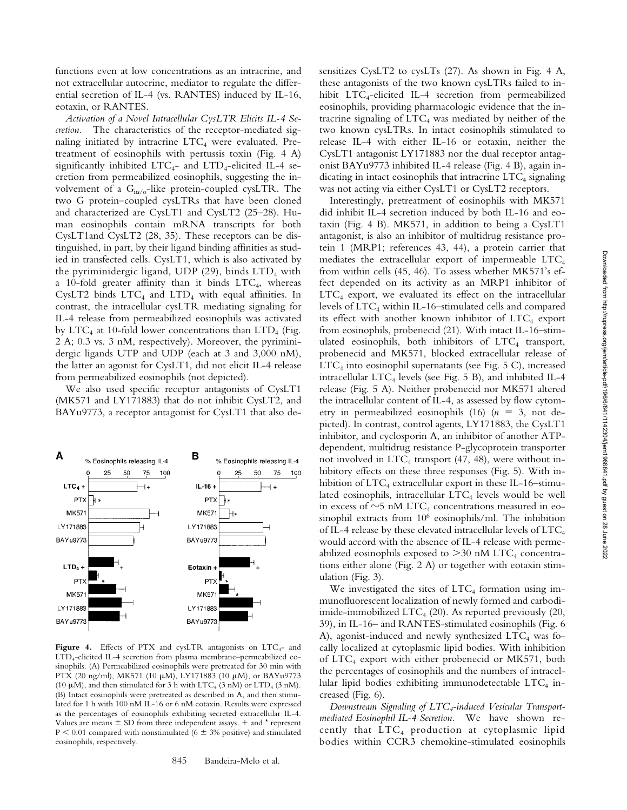functions even at low concentrations as an intracrine, and not extracellular autocrine, mediator to regulate the differential secretion of IL-4 (vs. RANTES) induced by IL-16, eotaxin, or RANTES.

*Activation of a Novel Intracellular CysLTR Elicits IL-4 Secretion.* The characteristics of the receptor-mediated signaling initiated by intracrine  $LTC_4$  were evaluated. Pretreatment of eosinophils with pertussis toxin (Fig. 4 A) significantly inhibited  $LTC_{4-}$  and  $LTD_{4-}$ elicited IL-4 secretion from permeabilized eosinophils, suggesting the involvement of a  $G_{i\alpha/\mathrm{o}}$ -like protein-coupled cysLTR. The two G protein–coupled cysLTRs that have been cloned and characterized are CysLT1 and CysLT2 (25–28). Human eosinophils contain mRNA transcripts for both CysLT1and CysLT2 (28, 35). These receptors can be distinguished, in part, by their ligand binding affinities as studied in transfected cells. CysLT1, which is also activated by the pyriminidergic ligand, UDP  $(29)$ , binds LTD<sub>4</sub> with a 10-fold greater affinity than it binds  $\text{LTC}_4$ , whereas CysLT2 binds  $LTC_4$  and  $LTD_4$  with equal affinities. In contrast, the intracellular cysLTR mediating signaling for IL-4 release from permeabilized eosinophils was activated by  $\text{LTC}_4$  at 10-fold lower concentrations than  $\text{LTD}_4$  (Fig. 2 A; 0.3 vs. 3 nM, respectively). Moreover, the pyriminidergic ligands UTP and UDP (each at 3 and 3,000 nM), the latter an agonist for CysLT1, did not elicit IL-4 release from permeabilized eosinophils (not depicted).

We also used specific receptor antagonists of CysLT1 (MK571 and LY171883) that do not inhibit CysLT2, and BAYu9773, a receptor antagonist for CysLT1 that also de-



Figure 4. Effects of PTX and cysLTR antagonists on LTC<sub>4</sub>- and LTD4-elicited IL-4 secretion from plasma membrane–permeabilized eosinophils. (A) Permeabilized eosinophils were pretreated for 30 min with PTX (20 ng/ml), MK571 (10  $\mu$ M), LY171883 (10  $\mu$ M), or BAYu9773 (10  $\mu$ M), and then stimulated for 3 h with LTC<sub>4</sub> (3 nM) or LTD<sub>4</sub> (3 nM). (B) Intact eosinophils were pretreated as described in A, and then stimulated for 1 h with 100 nM IL-16 or 6 nM eotaxin. Results were expressed as the percentages of eosinophils exhibiting secreted extracellular IL-4. Values are means  $\pm$  SD from three independent assays.  $+$  and  $*$  represent  $P < 0.01$  compared with nonstimulated (6  $\pm$  3% positive) and stimulated eosinophils, respectively.

sensitizes CysLT2 to cysLTs (27). As shown in Fig. 4 A, these antagonists of the two known cysLTRs failed to inhibit LTC<sub>4</sub>-elicited IL-4 secretion from permeabilized eosinophils, providing pharmacologic evidence that the intracrine signaling of  $LTC_4$  was mediated by neither of the two known cysLTRs. In intact eosinophils stimulated to release IL-4 with either IL-16 or eotaxin, neither the CysLT1 antagonist LY171883 nor the dual receptor antagonist BAYu9773 inhibited IL-4 release (Fig. 4 B), again indicating in intact eosinophils that intracrine  $\text{LTC}_4$  signaling was not acting via either CysLT1 or CysLT2 receptors.

Interestingly, pretreatment of eosinophils with MK571 did inhibit IL-4 secretion induced by both IL-16 and eotaxin (Fig. 4 B). MK571, in addition to being a CysLT1 antagonist, is also an inhibitor of multidrug resistance protein 1 (MRP1; references 43, 44), a protein carrier that mediates the extracellular export of impermeable  $\text{LTC}_4$ from within cells (45, 46). To assess whether MK571's effect depended on its activity as an MRP1 inhibitor of  $LTC_4$  export, we evaluated its effect on the intracellular levels of  $\text{LTC}_4$  within IL-16–stimulated cells and compared its effect with another known inhibitor of  $\text{LTC}_4$  export from eosinophils, probenecid (21). With intact IL-16–stimulated eosinophils, both inhibitors of  $LTC<sub>4</sub>$  transport, probenecid and MK571, blocked extracellular release of  $LTC_4$  into eosinophil supernatants (see Fig. 5 C), increased intracellular  $LTC<sub>4</sub>$  levels (see Fig. 5 B), and inhibited IL-4 release (Fig. 5 A). Neither probenecid nor MK571 altered the intracellular content of IL-4, as assessed by flow cytometry in permeabilized eosinophils  $(16)$   $(n = 3, not$  depicted). In contrast, control agents, LY171883, the CysLT1 inhibitor, and cyclosporin A, an inhibitor of another ATPdependent, multidrug resistance P-glycoprotein transporter not involved in  $\text{LTC}_4$  transport (47, 48), were without inhibitory effects on these three responses (Fig. 5). With inhibition of  $LTC_4$  extracellular export in these IL-16–stimulated eosinophils, intracellular  $LTC_4$  levels would be well in excess of  $\sim$ 5 nM LTC<sub>4</sub> concentrations measured in eosinophil extracts from  $10^6$  eosinophils/ml. The inhibition of IL-4 release by these elevated intracellular levels of  $\text{LTC}_4$ would accord with the absence of IL-4 release with permeabilized eosinophils exposed to  $>$ 30 nM LTC<sub>4</sub> concentrations either alone (Fig. 2 A) or together with eotaxin stimulation (Fig. 3).

We investigated the sites of  $LTC_4$  formation using immunofluorescent localization of newly formed and carbodiimide-immobilized  $\text{LTC}_4$  (20). As reported previously (20, 39), in IL-16– and RANTES-stimulated eosinophils (Fig. 6 A), agonist-induced and newly synthesized  $\text{LTC}_4$  was focally localized at cytoplasmic lipid bodies. With inhibition of  $LTC_4$  export with either probenecid or MK571, both the percentages of eosinophils and the numbers of intracellular lipid bodies exhibiting immunodetectable  $LTC_4$  increased (Fig. 6).

*Downstream Signaling of LTC4-induced Vesicular Transportmediated Eosinophil IL-4 Secretion.* We have shown recently that LTC4 production at cytoplasmic lipid bodies within CCR3 chemokine-stimulated eosinophils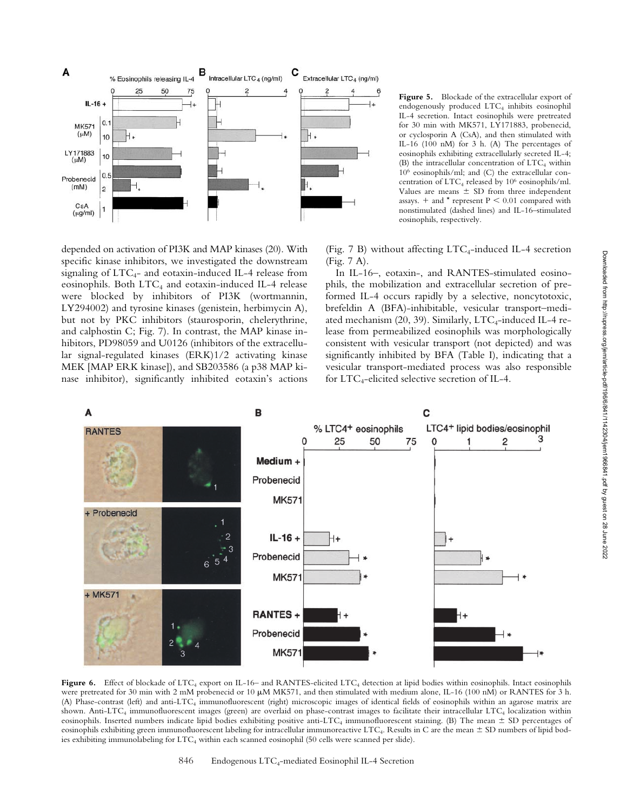

**Figure 5.** Blockade of the extracellular export of endogenously produced LTC<sub>4</sub> inhibits eosinophil IL-4 secretion. Intact eosinophils were pretreated for 30 min with MK571, LY171883, probenecid, or cyclosporin A (CsA), and then stimulated with IL-16 (100 nM) for 3 h. (A) The percentages of eosinophils exhibiting extracellularly secreted IL-4; (B) the intracellular concentration of  $\text{LTC}_4$  within 106 eosinophils/ml; and (C) the extracellular concentration of  $\mathrm{LTC}_4$  released by  $10^6$  eosinophils/ml. Values are means  $\pm$  SD from three independent assays.  $+$  and  $*$  represent  $P < 0.01$  compared with nonstimulated (dashed lines) and IL-16–stimulated eosinophils, respectively.

depended on activation of PI3K and MAP kinases (20). With specific kinase inhibitors, we investigated the downstream signaling of  $LTC<sub>4</sub>$ - and eotaxin-induced IL-4 release from eosinophils. Both  $LTC_4$  and eotaxin-induced IL-4 release were blocked by inhibitors of PI3K (wortmannin, LY294002) and tyrosine kinases (genistein, herbimycin A), but not by PKC inhibitors (staurosporin, chelerythrine, and calphostin C; Fig. 7). In contrast, the MAP kinase inhibitors, PD98059 and U0126 (inhibitors of the extracellular signal-regulated kinases (ERK)1/2 activating kinase MEK [MAP ERK kinase]), and SB203586 (a p38 MAP kinase inhibitor), significantly inhibited eotaxin's actions (Fig. 7 B) without affecting  $LTC_4$ -induced IL-4 secretion (Fig. 7 A).

In IL-16–, eotaxin-, and RANTES-stimulated eosinophils, the mobilization and extracellular secretion of preformed IL-4 occurs rapidly by a selective, noncytotoxic, brefeldin A (BFA)-inhibitable, vesicular transport–mediated mechanism (20, 39). Similarly,  $\text{LTC}_4$ -induced IL-4 release from permeabilized eosinophils was morphologically consistent with vesicular transport (not depicted) and was significantly inhibited by BFA (Table I), indicating that a vesicular transport-mediated process was also responsible for  $LTC_4$ -elicited selective secretion of IL-4.



Figure 6. Effect of blockade of LTC<sub>4</sub> export on IL-16– and RANTES-elicited LTC<sub>4</sub> detection at lipid bodies within eosinophils. Intact eosinophils were pretreated for 30 min with 2 mM probenecid or 10  $\mu$ M MK571, and then stimulated with medium alone, IL-16 (100 nM) or RANTES for 3 h. (A) Phase-contrast (left) and anti-LTC<sub>4</sub> immunofluorescent (right) microscopic images of identical fields of eosinophils within an agarose matrix are shown. Anti-LTC<sub>4</sub> immunofluorescent images (green) are overlaid on phase-contrast images to facilitate their intracellular LTC<sub>4</sub> localization within eosinophils. Inserted numbers indicate lipid bodies exhibiting positive anti-LTC<sub>4</sub> immunofluorescent staining. (B) The mean  $\pm$  SD percentages of eosinophils exhibiting green immunofluorescent labeling for intracellular immunoreactive  $\mathrm{LTC}_4$ . Results in C are the mean  $\pm$  SD numbers of lipid bodies exhibiting immunolabeling for LTC4 within each scanned eosinophil (50 cells were scanned per slide).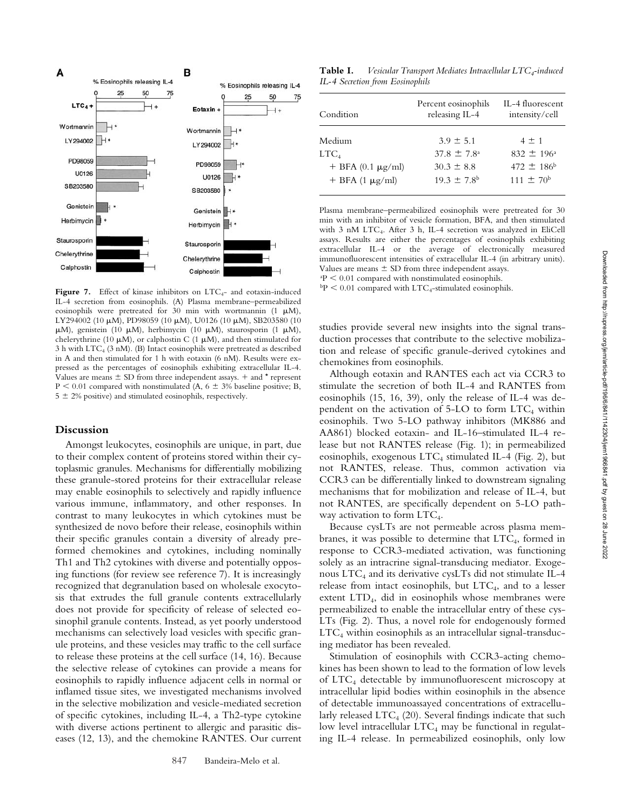

Figure 7. Effect of kinase inhibitors on LTC<sub>4</sub>- and eotaxin-induced IL-4 secretion from eosinophils. (A) Plasma membrane–permeabilized eosinophils were pretreated for 30 min with wortmannin  $(1 \mu M)$ , LY294002 (10 µM), PD98059 (10 µM), U0126 (10 µM), SB203580 (10  $\mu$ M), genistein (10  $\mu$ M), herbimycin (10  $\mu$ M), staurosporin (1  $\mu$ M), chelerythrine (10  $\mu$ M), or calphostin C (1  $\mu$ M), and then stimulated for  $3 h$  with LTC<sub>4</sub> ( $3 n$ M). (B) Intact eosinophils were pretreated as described in A and then stimulated for 1 h with eotaxin (6 nM). Results were expressed as the percentages of eosinophils exhibiting extracellular IL-4. Values are means  $\pm$  SD from three independent assays.  $+$  and  $*$  represent  $P < 0.01$  compared with nonstimulated (A, 6  $\pm$  3% baseline positive; B,  $5 \pm 2\%$  positive) and stimulated eosinophils, respectively.

## **Discussion**

Amongst leukocytes, eosinophils are unique, in part, due to their complex content of proteins stored within their cytoplasmic granules. Mechanisms for differentially mobilizing these granule-stored proteins for their extracellular release may enable eosinophils to selectively and rapidly influence various immune, inflammatory, and other responses. In contrast to many leukocytes in which cytokines must be synthesized de novo before their release, eosinophils within their specific granules contain a diversity of already preformed chemokines and cytokines, including nominally Th1 and Th2 cytokines with diverse and potentially opposing functions (for review see reference 7). It is increasingly recognized that degranulation based on wholesale exocytosis that extrudes the full granule contents extracellularly does not provide for specificity of release of selected eosinophil granule contents. Instead, as yet poorly understood mechanisms can selectively load vesicles with specific granule proteins, and these vesicles may traffic to the cell surface to release these proteins at the cell surface (14, 16). Because the selective release of cytokines can provide a means for eosinophils to rapidly influence adjacent cells in normal or inflamed tissue sites, we investigated mechanisms involved in the selective mobilization and vesicle-mediated secretion of specific cytokines, including IL-4, a Th2-type cytokine with diverse actions pertinent to allergic and parasitic diseases (12, 13), and the chemokine RANTES. Our current

**Table I.** *Vesicular Transport Mediates Intracellular LTC<sub>4</sub>-induced IL-4 Secretion from Eosinophils*

| Condition                | Percent eosinophils<br>releasing IL-4 | IL-4 fluorescent<br>intensity/cell |
|--------------------------|---------------------------------------|------------------------------------|
| Medium                   | $3.9 \pm 5.1$                         | $4 \pm 1$                          |
| $_{\rm{LTC}_4}$          | $37.8 \pm 7.8^{\circ}$                | $832 \pm 196$ <sup>a</sup>         |
| $+$ BFA (0.1 $\mu$ g/ml) | $30.3 \pm 8.8$                        | 472 $\pm$ 186 <sup>b</sup>         |
| $+$ BFA (1 $\mu$ g/ml)   | $19.3 + 7.8$                          | $111 + 70^b$                       |

Plasma membrane–permeabilized eosinophils were pretreated for 30 min with an inhibitor of vesicle formation, BFA, and then stimulated with 3 nM LTC<sub>4</sub>. After 3 h, IL-4 secretion was analyzed in EliCell assays. Results are either the percentages of eosinophils exhibiting extracellular IL-4 or the average of electronically measured immunofluorescent intensities of extracellular IL-4 (in arbitrary units). Values are means  $\pm$  SD from three independent assays.  $P < 0.01$  compared with nonstimulated eosinophils.

 $bP < 0.01$  compared with LTC<sub>4</sub>-stimulated eosinophils.

studies provide several new insights into the signal transduction processes that contribute to the selective mobilization and release of specific granule-derived cytokines and chemokines from eosinophils.

Although eotaxin and RANTES each act via CCR3 to stimulate the secretion of both IL-4 and RANTES from eosinophils (15, 16, 39), only the release of IL-4 was dependent on the activation of  $5$ -LO to form  $LTC_4$  within eosinophils. Two 5-LO pathway inhibitors (MK886 and AA861) blocked eotaxin- and IL-16–stimulated IL-4 release but not RANTES release (Fig. 1); in permeabilized eosinophils, exogenous  $LTC<sub>4</sub>$  stimulated IL-4 (Fig. 2), but not RANTES, release. Thus, common activation via CCR3 can be differentially linked to downstream signaling mechanisms that for mobilization and release of IL-4, but not RANTES, are specifically dependent on 5-LO pathway activation to form  $\text{LTC}_4$ .

Because cysLTs are not permeable across plasma membranes, it was possible to determine that  $\text{LTC}_4$ , formed in response to CCR3-mediated activation, was functioning solely as an intracrine signal-transducing mediator. Exogenous  $LTC_4$  and its derivative cys $LTs$  did not stimulate IL-4 release from intact eosinophils, but  $\text{LTC}_4$ , and to a lesser extent LTD4, did in eosinophils whose membranes were permeabilized to enable the intracellular entry of these cys-LTs (Fig. 2). Thus, a novel role for endogenously formed  $LTC_4$  within eosinophils as an intracellular signal-transducing mediator has been revealed.

Stimulation of eosinophils with CCR3-acting chemokines has been shown to lead to the formation of low levels of LTC4 detectable by immunofluorescent microscopy at intracellular lipid bodies within eosinophils in the absence of detectable immunoassayed concentrations of extracellularly released  $\text{LTC}_4$  (20). Several findings indicate that such low level intracellular  $LTC_4$  may be functional in regulating IL-4 release. In permeabilized eosinophils, only low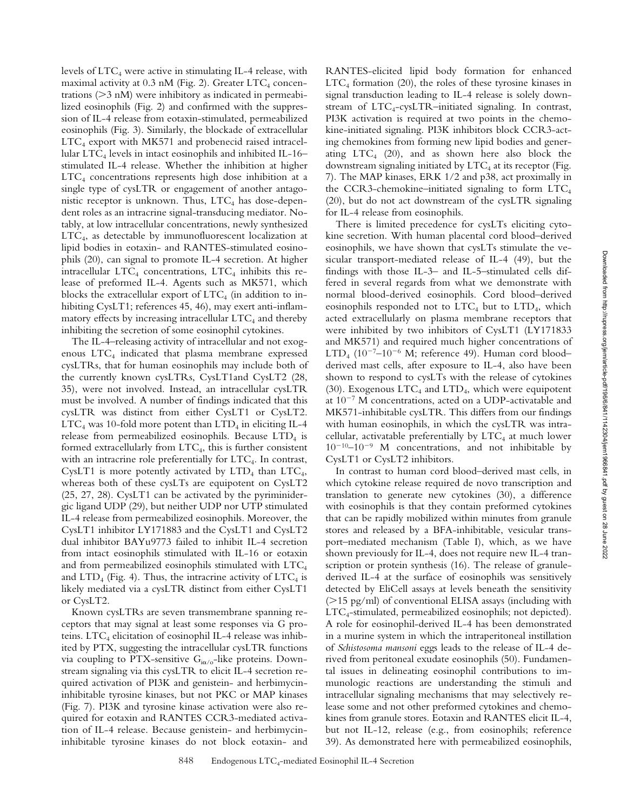levels of  $\text{LTC}_4$  were active in stimulating IL-4 release, with maximal activity at  $0.3$  nM (Fig. 2). Greater LTC<sub>4</sub> concentrations (>3 nM) were inhibitory as indicated in permeabilized eosinophils (Fig. 2) and confirmed with the suppression of IL-4 release from eotaxin-stimulated, permeabilized eosinophils (Fig. 3). Similarly, the blockade of extracellular  $LTC_4$  export with MK571 and probenecid raised intracellular  $LTC<sub>4</sub>$  levels in intact eosinophils and inhibited IL-16– stimulated IL-4 release. Whether the inhibition at higher  $LTC_4$  concentrations represents high dose inhibition at a single type of cysLTR or engagement of another antagonistic receptor is unknown. Thus,  $LTC_4$  has dose-dependent roles as an intracrine signal-transducing mediator. Notably, at low intracellular concentrations, newly synthesized LTC4, as detectable by immunofluorescent localization at lipid bodies in eotaxin- and RANTES-stimulated eosinophils (20), can signal to promote IL-4 secretion. At higher intracellular  $\text{LTC}_4$  concentrations,  $\text{LTC}_4$  inhibits this release of preformed IL-4. Agents such as MK571, which blocks the extracellular export of  $LTC<sub>4</sub>$  (in addition to inhibiting CysLT1; references 45, 46), may exert anti-inflammatory effects by increasing intracellular  $\text{LTC}_4$  and thereby inhibiting the secretion of some eosinophil cytokines.

The IL-4–releasing activity of intracellular and not exogenous  $LTC_4$  indicated that plasma membrane expressed cysLTRs, that for human eosinophils may include both of the currently known cysLTRs, CysLT1and CysLT2 (28, 35), were not involved. Instead, an intracellular cysLTR must be involved. A number of findings indicated that this cysLTR was distinct from either CysLT1 or CysLT2.  $LTC_4$  was 10-fold more potent than  $LTD_4$  in eliciting IL-4 release from permeabilized eosinophils. Because  $LTD<sub>4</sub>$  is formed extracellularly from  $\text{LTC}_4$ , this is further consistent with an intracrine role preferentially for  $\text{LTC}_4$ . In contrast, CysLT1 is more potently activated by  $LTD_4$  than  $LTC_4$ , whereas both of these cysLTs are equipotent on CysLT2 (25, 27, 28). CysLT1 can be activated by the pyriminidergic ligand UDP (29), but neither UDP nor UTP stimulated IL-4 release from permeabilized eosinophils. Moreover, the CysLT1 inhibitor LY171883 and the CysLT1 and CysLT2 dual inhibitor BAYu9773 failed to inhibit IL-4 secretion from intact eosinophils stimulated with IL-16 or eotaxin and from permeabilized eosinophils stimulated with  $\text{LTC}_4$ and  $LTD_4$  (Fig. 4). Thus, the intracrine activity of  $LTC_4$  is likely mediated via a cysLTR distinct from either CysLT1 or CysLT2.

Known cysLTRs are seven transmembrane spanning receptors that may signal at least some responses via G proteins.  $\text{LTC}_4$  elicitation of eosinophil IL-4 release was inhibited by PTX, suggesting the intracellular cysLTR functions via coupling to PTX-sensitive  $G_{i\alpha/\mathrm{o}}$ -like proteins. Downstream signaling via this cysLTR to elicit IL-4 secretion required activation of PI3K and genistein- and herbimycininhibitable tyrosine kinases, but not PKC or MAP kinases (Fig. 7). PI3K and tyrosine kinase activation were also required for eotaxin and RANTES CCR3-mediated activation of IL-4 release. Because genistein- and herbimycininhibitable tyrosine kinases do not block eotaxin- and

RANTES-elicited lipid body formation for enhanced  $LTC_4$  formation (20), the roles of these tyrosine kinases in signal transduction leading to IL-4 release is solely downstream of  $\text{LTC}_4$ -cys $\text{LTR}$ -initiated signaling. In contrast, PI3K activation is required at two points in the chemokine-initiated signaling. PI3K inhibitors block CCR3-acting chemokines from forming new lipid bodies and generating  $LTC<sub>4</sub>$  (20), and as shown here also block the downstream signaling initiated by  $\text{LTC}_4$  at its receptor (Fig. 7). The MAP kinases, ERK 1/2 and p38, act proximally in the CCR3-chemokine–initiated signaling to form  $\text{LTC}_4$ (20), but do not act downstream of the cysLTR signaling for IL-4 release from eosinophils.

There is limited precedence for cysLTs eliciting cytokine secretion. With human placental cord blood–derived eosinophils, we have shown that cysLTs stimulate the vesicular transport-mediated release of IL-4 (49), but the findings with those IL-3– and IL-5–stimulated cells differed in several regards from what we demonstrate with normal blood-derived eosinophils. Cord blood–derived eosinophils responded not to  $LTC<sub>4</sub>$  but to  $LTD<sub>4</sub>$ , which acted extracellularly on plasma membrane receptors that were inhibited by two inhibitors of CysLT1 (LY171833 and MK571) and required much higher concentrations of LTD<sub>4</sub> (10<sup>-7</sup>-10<sup>-6</sup> M; reference 49). Human cord bloodderived mast cells, after exposure to IL-4, also have been shown to respond to cysLTs with the release of cytokines (30). Exogenous  $\text{LTC}_4$  and  $\text{LTD}_4$ , which were equipotent at  $10^{-7}$  M concentrations, acted on a UDP-activatable and MK571-inhibitable cysLTR. This differs from our findings with human eosinophils, in which the cysLTR was intracellular, activatable preferentially by  $\text{LTC}_4$  at much lower  $10^{-10}$ – $10^{-9}$  M concentrations, and not inhibitable by CysLT1 or CysLT2 inhibitors.

In contrast to human cord blood–derived mast cells, in which cytokine release required de novo transcription and translation to generate new cytokines (30), a difference with eosinophils is that they contain preformed cytokines that can be rapidly mobilized within minutes from granule stores and released by a BFA-inhibitable, vesicular transport–mediated mechanism (Table I), which, as we have shown previously for IL-4, does not require new IL-4 transcription or protein synthesis (16). The release of granulederived IL-4 at the surface of eosinophils was sensitively detected by EliCell assays at levels beneath the sensitivity (>15 pg/ml) of conventional ELISA assays (including with  $\text{LTC}_4$ -stimulated, permeabilized eosinophils; not depicted). A role for eosinophil-derived IL-4 has been demonstrated in a murine system in which the intraperitoneal instillation of *Schistosoma mansoni* eggs leads to the release of IL-4 derived from peritoneal exudate eosinophils (50). Fundamental issues in delineating eosinophil contributions to immunologic reactions are understanding the stimuli and intracellular signaling mechanisms that may selectively release some and not other preformed cytokines and chemokines from granule stores. Eotaxin and RANTES elicit IL-4, but not IL-12, release (e.g., from eosinophils; reference 39). As demonstrated here with permeabilized eosinophils,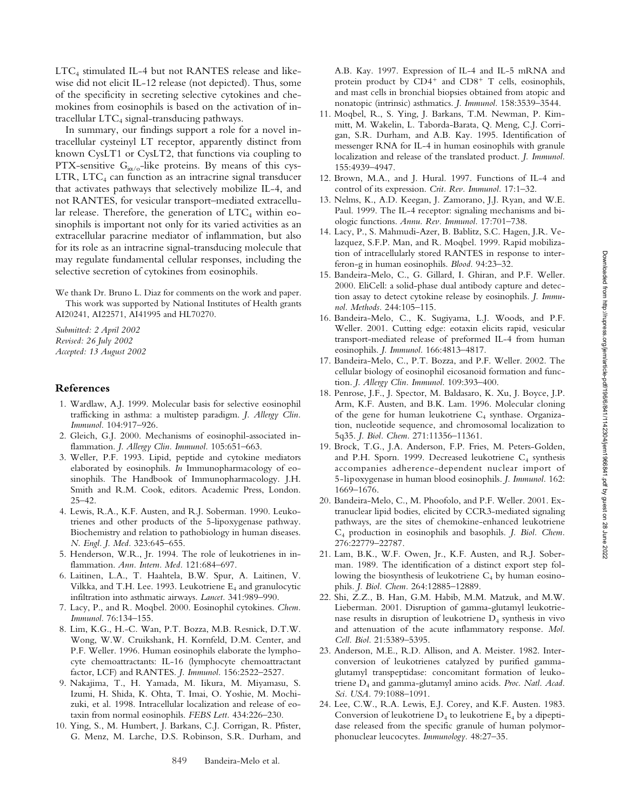$LTC<sub>4</sub>$  stimulated IL-4 but not RANTES release and likewise did not elicit IL-12 release (not depicted). Thus, some of the specificity in secreting selective cytokines and chemokines from eosinophils is based on the activation of intracellular  $LTC_4$  signal-transducing pathways.

In summary, our findings support a role for a novel intracellular cysteinyl LT receptor, apparently distinct from known CysLT1 or CysLT2, that functions via coupling to PTX-sensitive  $G_{i\alpha/\sigma}$ -like proteins. By means of this cys- $LTR$ ,  $LTC<sub>4</sub>$  can function as an intracrine signal transducer that activates pathways that selectively mobilize IL-4, and not RANTES, for vesicular transport–mediated extracellular release. Therefore, the generation of  $\text{LTC}_4$  within eosinophils is important not only for its varied activities as an extracellular paracrine mediator of inflammation, but also for its role as an intracrine signal-transducing molecule that may regulate fundamental cellular responses, including the selective secretion of cytokines from eosinophils.

We thank Dr. Bruno L. Diaz for comments on the work and paper. This work was supported by National Institutes of Health grants AI20241, AI22571, AI41995 and HL70270.

*Submitted: 2 April 2002 Revised: 26 July 2002 Accepted: 13 August 2002*

## **References**

- 1. Wardlaw, A.J. 1999. Molecular basis for selective eosinophil trafficking in asthma: a multistep paradigm. *J. Allergy Clin. Immunol.* 104:917–926.
- 2. Gleich, G.J. 2000. Mechanisms of eosinophil-associated inflammation. *J. Allergy Clin. Immunol.* 105:651–663.
- 3. Weller, P.F. 1993. Lipid, peptide and cytokine mediators elaborated by eosinophils. *In* Immunopharmacology of eosinophils. The Handbook of Immunopharmacology. J.H. Smith and R.M. Cook, editors. Academic Press, London. 25–42.
- 4. Lewis, R.A., K.F. Austen, and R.J. Soberman. 1990. Leukotrienes and other products of the 5-lipoxygenase pathway. Biochemistry and relation to pathobiology in human diseases. *N. Engl. J. Med.* 323:645–655.
- 5. Henderson, W.R., Jr. 1994. The role of leukotrienes in inflammation. *Ann. Intern. Med.* 121:684–697.
- 6. Laitinen, L.A., T. Haahtela, B.W. Spur, A. Laitinen, V. Vilkka, and T.H. Lee. 1993. Leukotriene  $E_4$  and granulocytic infiltration into asthmatic airways. *Lancet.* 341:989–990.
- 7. Lacy, P., and R. Moqbel. 2000. Eosinophil cytokines. *Chem. Immunol.* 76:134–155.
- 8. Lim, K.G., H.-C. Wan, P.T. Bozza, M.B. Resnick, D.T.W. Wong, W.W. Cruikshank, H. Kornfeld, D.M. Center, and P.F. Weller. 1996. Human eosinophils elaborate the lymphocyte chemoattractants: IL-16 (lymphocyte chemoattractant factor, LCF) and RANTES. *J. Immunol.* 156:2522–2527.
- 9. Nakajima, T., H. Yamada, M. Iikura, M. Miyamasu, S. Izumi, H. Shida, K. Ohta, T. Imai, O. Yoshie, M. Mochizuki, et al. 1998. Intracellular localization and release of eotaxin from normal eosinophils. *FEBS Lett.* 434:226–230.
- 10. Ying, S., M. Humbert, J. Barkans, C.J. Corrigan, R. Pfister, G. Menz, M. Larche, D.S. Robinson, S.R. Durham, and

A.B. Kay. 1997. Expression of IL-4 and IL-5 mRNA and protein product by  $CD4^+$  and  $CD8^+$  T cells, eosinophils, and mast cells in bronchial biopsies obtained from atopic and nonatopic (intrinsic) asthmatics. *J. Immunol.* 158:3539–3544.

- 11. Moqbel, R., S. Ying, J. Barkans, T.M. Newman, P. Kimmitt, M. Wakelin, L. Taborda-Barata, Q. Meng, C.J. Corrigan, S.R. Durham, and A.B. Kay. 1995. Identification of messenger RNA for IL-4 in human eosinophils with granule localization and release of the translated product. *J. Immunol.* 155:4939–4947.
- 12. Brown, M.A., and J. Hural. 1997. Functions of IL-4 and control of its expression. *Crit. Rev. Immunol.* 17:1–32.
- 13. Nelms, K., A.D. Keegan, J. Zamorano, J.J. Ryan, and W.E. Paul. 1999. The IL-4 receptor: signaling mechanisms and biologic functions. *Annu. Rev. Immunol.* 17:701–738.
- 14. Lacy, P., S. Mahmudi-Azer, B. Bablitz, S.C. Hagen, J.R. Velazquez, S.F.P. Man, and R. Moqbel. 1999. Rapid mobilization of intracellularly stored RANTES in response to interferon-g in human eosinophils. *Blood.* 94:23–32.
- 15. Bandeira-Melo, C., G. Gillard, I. Ghiran, and P.F. Weller. 2000. EliCell: a solid-phase dual antibody capture and detection assay to detect cytokine release by eosinophils. *J. Immunol. Methods.* 244:105–115.
- 16. Bandeira-Melo, C., K. Sugiyama, L.J. Woods, and P.F. Weller. 2001. Cutting edge: eotaxin elicits rapid, vesicular transport-mediated release of preformed IL-4 from human eosinophils. *J. Immunol.* 166:4813–4817.
- 17. Bandeira-Melo, C., P.T. Bozza, and P.F. Weller. 2002. The cellular biology of eosinophil eicosanoid formation and function. *J. Allergy Clin. Immunol.* 109:393–400.
- 18. Penrose, J.F., J. Spector, M. Baldasaro, K. Xu, J. Boyce, J.P. Arm, K.F. Austen, and B.K. Lam. 1996. Molecular cloning of the gene for human leukotriene  $C_4$  synthase. Organization, nucleotide sequence, and chromosomal localization to 5q35. *J. Biol. Chem.* 271:11356–11361.
- 19. Brock, T.G., J.A. Anderson, F.P. Fries, M. Peters-Golden, and P.H. Sporn. 1999. Decreased leukotriene  $C_4$  synthesis accompanies adherence-dependent nuclear import of 5-lipoxygenase in human blood eosinophils. *J. Immunol.* 162: 1669–1676.
- 20. Bandeira-Melo, C., M. Phoofolo, and P.F. Weller. 2001. Extranuclear lipid bodies, elicited by CCR3-mediated signaling pathways, are the sites of chemokine-enhanced leukotriene C4 production in eosinophils and basophils. *J. Biol. Chem.* 276:22779–22787.
- 21. Lam, B.K., W.F. Owen, Jr., K.F. Austen, and R.J. Soberman. 1989. The identification of a distinct export step following the biosynthesis of leukotriene  $C_4$  by human eosinophils. *J. Biol. Chem.* 264:12885–12889.
- 22. Shi, Z.Z., B. Han, G.M. Habib, M.M. Matzuk, and M.W. Lieberman. 2001. Disruption of gamma-glutamyl leukotrienase results in disruption of leukotriene  $D_4$  synthesis in vivo and attenuation of the acute inflammatory response. *Mol. Cell. Biol.* 21:5389–5395.
- 23. Anderson, M.E., R.D. Allison, and A. Meister. 1982. Interconversion of leukotrienes catalyzed by purified gammaglutamyl transpeptidase: concomitant formation of leukotriene D4 and gamma-glutamyl amino acids. *Proc. Natl. Acad. Sci. USA.* 79:1088–1091.
- 24. Lee, C.W., R.A. Lewis, E.J. Corey, and K.F. Austen. 1983. Conversion of leukotriene  $D_4$  to leukotriene  $E_4$  by a dipeptidase released from the specific granule of human polymorphonuclear leucocytes. *Immunology.* 48:27–35.